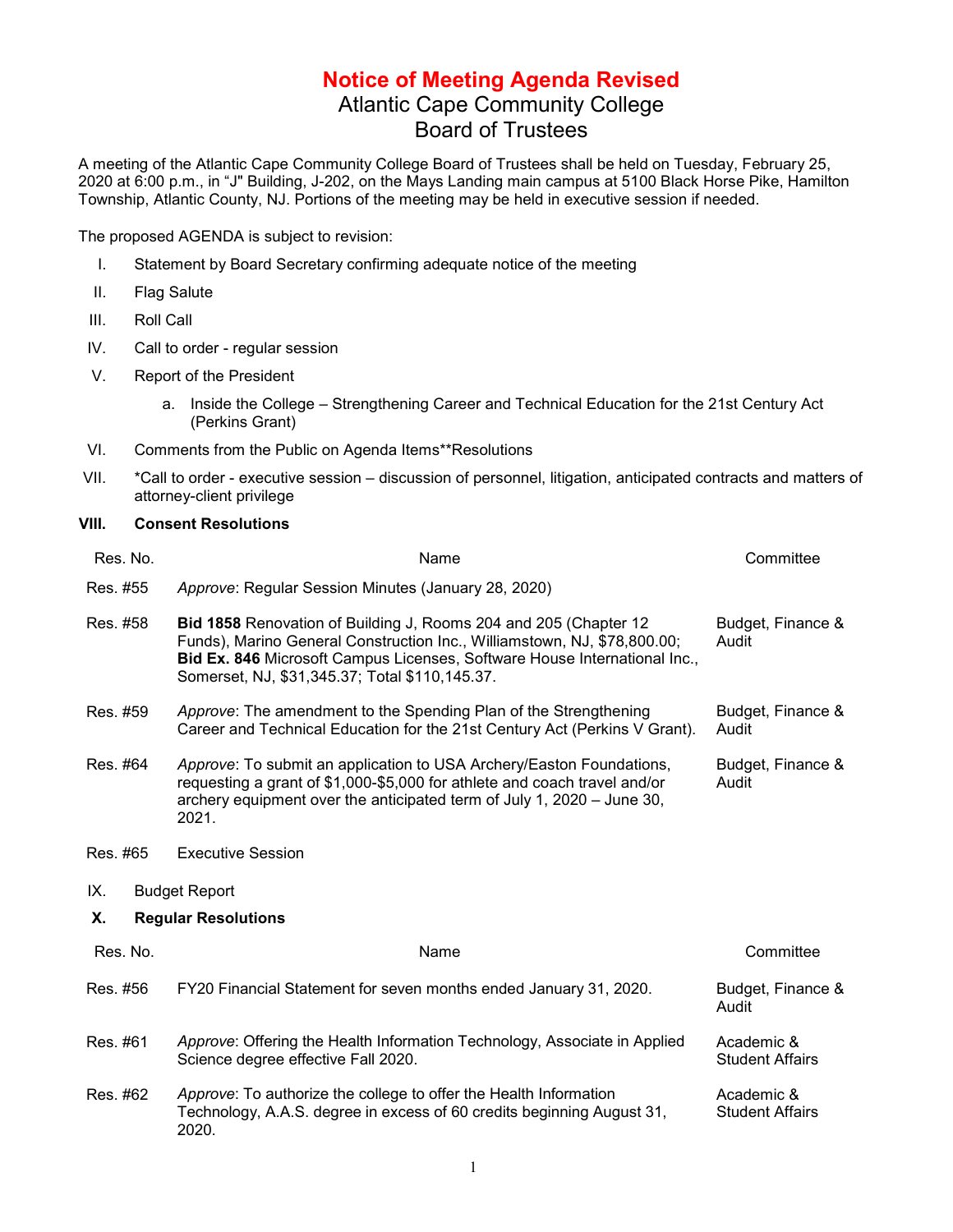## **Notice of Meeting Agenda Revised** Atlantic Cape Community College Board of Trustees

A meeting of the Atlantic Cape Community College Board of Trustees shall be held on Tuesday, February 25, 2020 at 6:00 p.m., in "J" Building, J-202, on the Mays Landing main campus at 5100 Black Horse Pike, Hamilton Township, Atlantic County, NJ. Portions of the meeting may be held in executive session if needed.

The proposed AGENDA is subject to revision:

- I. Statement by Board Secretary confirming adequate notice of the meeting
- II. Flag Salute
- III. Roll Call
- IV. Call to order regular session
- V. Report of the President
	- a. Inside the College Strengthening Career and Technical Education for the 21st Century Act (Perkins Grant)
- VI. Comments from the Public on Agenda Items\*\*Resolutions
- VII. \*Call to order executive session discussion of personnel, litigation, anticipated contracts and matters of attorney-client privilege

## **VIII. Consent Resolutions**

| Res. No. | Name                                                                                                                                                                                                                                                                        | Committee                            |
|----------|-----------------------------------------------------------------------------------------------------------------------------------------------------------------------------------------------------------------------------------------------------------------------------|--------------------------------------|
| Res. #55 | Approve: Regular Session Minutes (January 28, 2020)                                                                                                                                                                                                                         |                                      |
| Res. #58 | Bid 1858 Renovation of Building J, Rooms 204 and 205 (Chapter 12<br>Funds), Marino General Construction Inc., Williamstown, NJ, \$78,800.00;<br>Bid Ex. 846 Microsoft Campus Licenses, Software House International Inc.,<br>Somerset, NJ, \$31,345.37; Total \$110,145.37. | Budget, Finance &<br>Audit           |
| Res. #59 | Approve: The amendment to the Spending Plan of the Strengthening<br>Career and Technical Education for the 21st Century Act (Perkins V Grant).                                                                                                                              | Budget, Finance &<br>Audit           |
| Res. #64 | Approve: To submit an application to USA Archery/Easton Foundations,<br>requesting a grant of \$1,000-\$5,000 for athlete and coach travel and/or<br>archery equipment over the anticipated term of July 1, 2020 - June 30,<br>2021.                                        | Budget, Finance &<br>Audit           |
| Res. #65 | <b>Executive Session</b>                                                                                                                                                                                                                                                    |                                      |
| IX.      | <b>Budget Report</b>                                                                                                                                                                                                                                                        |                                      |
| Χ.       | <b>Regular Resolutions</b>                                                                                                                                                                                                                                                  |                                      |
| Res. No. | Name                                                                                                                                                                                                                                                                        | Committee                            |
| Res. #56 | FY20 Financial Statement for seven months ended January 31, 2020.                                                                                                                                                                                                           | Budget, Finance &<br>Audit           |
| Res. #61 | Approve: Offering the Health Information Technology, Associate in Applied<br>Science degree effective Fall 2020.                                                                                                                                                            | Academic &<br><b>Student Affairs</b> |
| Res. #62 | Approve: To authorize the college to offer the Health Information<br>Technology, A.A.S. degree in excess of 60 credits beginning August 31,<br>2020.                                                                                                                        | Academic &<br><b>Student Affairs</b> |